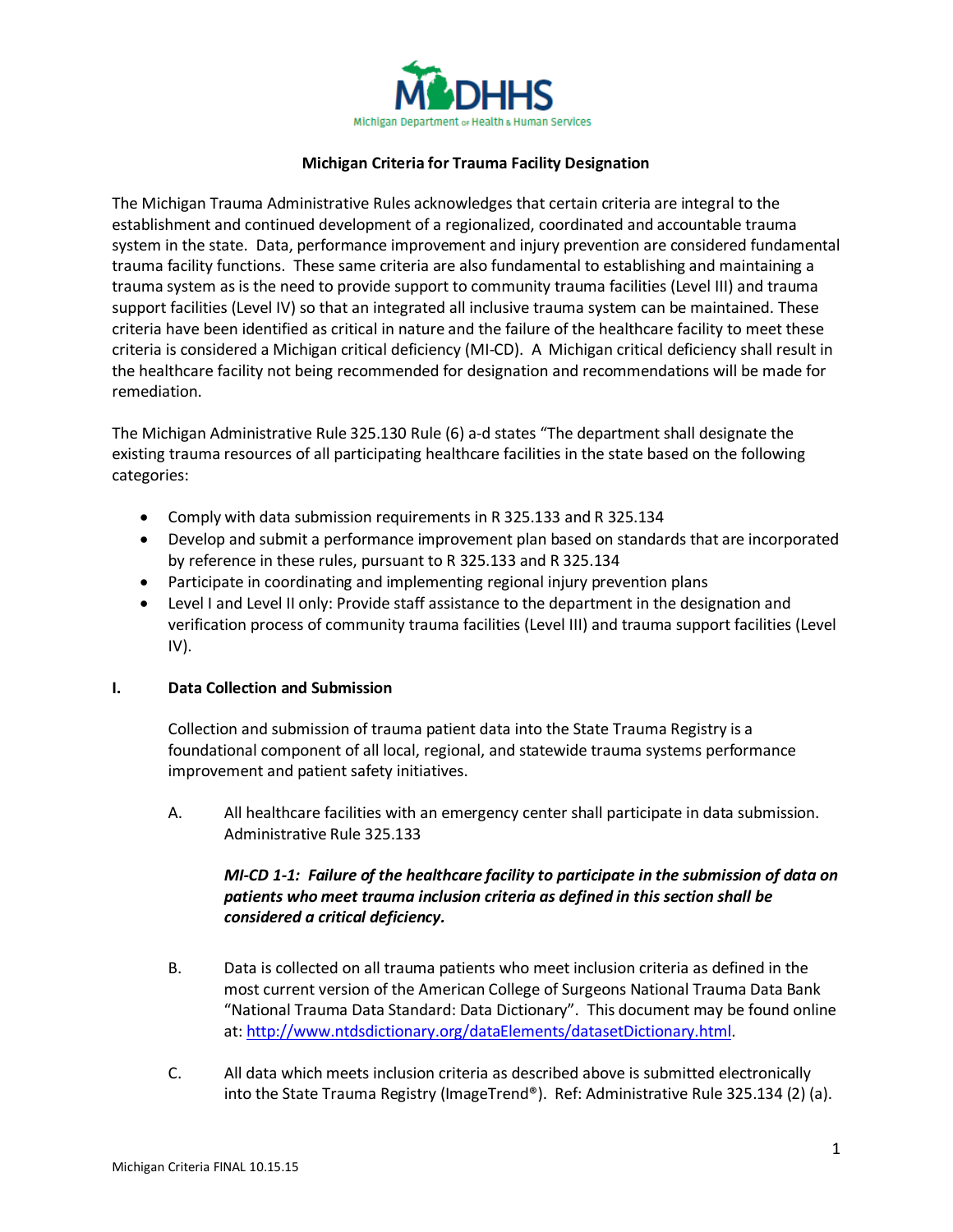

## **Michigan Criteria for Trauma Facility Designation**

The Michigan Trauma Administrative Rules acknowledges that certain criteria are integral to the establishment and continued development of a regionalized, coordinated and accountable trauma system in the state. Data, performance improvement and injury prevention are considered fundamental trauma facility functions. These same criteria are also fundamental to establishing and maintaining a trauma system as is the need to provide support to community trauma facilities (Level III) and trauma support facilities (Level IV) so that an integrated all inclusive trauma system can be maintained. These criteria have been identified as critical in nature and the failure of the healthcare facility to meet these criteria is considered a Michigan critical deficiency (MI-CD). A Michigan critical deficiency shall result in the healthcare facility not being recommended for designation and recommendations will be made for remediation.

The Michigan Administrative Rule 325.130 Rule (6) a-d states "The department shall designate the existing trauma resources of all participating healthcare facilities in the state based on the following categories:

- Comply with data submission requirements in R 325.133 and R 325.134
- Develop and submit a performance improvement plan based on standards that are incorporated by reference in these rules, pursuant to R 325.133 and R 325.134
- Participate in coordinating and implementing regional injury prevention plans
- Level I and Level II only: Provide staff assistance to the department in the designation and verification process of community trauma facilities (Level III) and trauma support facilities (Level IV).

## **I. Data Collection and Submission**

Collection and submission of trauma patient data into the State Trauma Registry is a foundational component of all local, regional, and statewide trauma systems performance improvement and patient safety initiatives.

A. All healthcare facilities with an emergency center shall participate in data submission. Administrative Rule 325.133

# *MI-CD 1-1: Failure of the healthcare facility to participate in the submission of data on patients who meet trauma inclusion criteria as defined in this section shall be considered a critical deficiency.*

- B. Data is collected on all trauma patients who meet inclusion criteria as defined in the most current version of the American College of Surgeons National Trauma Data Bank "National Trauma Data Standard: Data Dictionary". This document may be found online at: [http://www.ntdsdictionary.org/dataElements/datasetDictionary.html.](http://www.ntdsdictionary.org/dataElements/datasetDictionary.html)
- C. All data which meets inclusion criteria as described above is submitted electronically into the State Trauma Registry (ImageTrend®). Ref: Administrative Rule 325.134 (2) (a).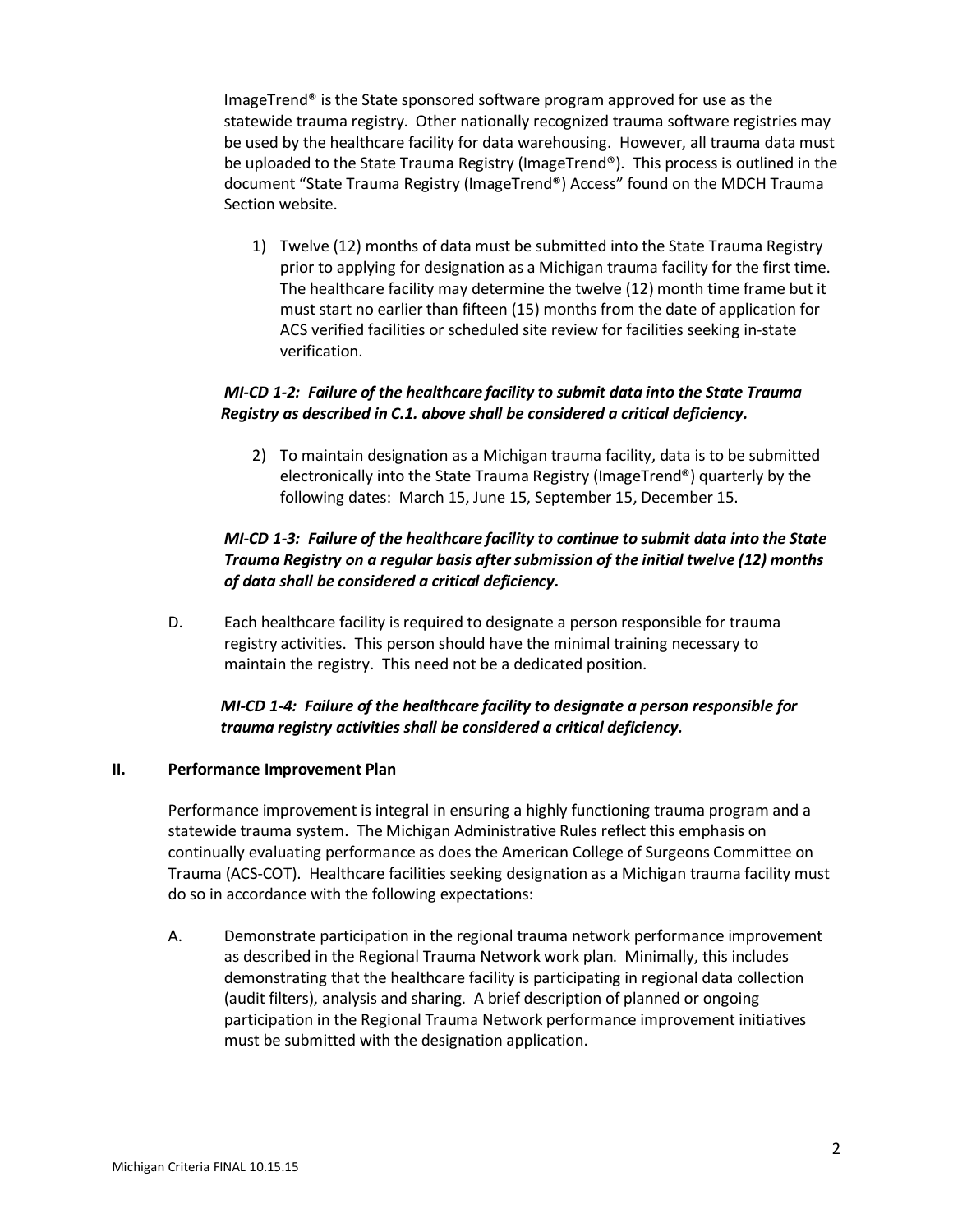ImageTrend® is the State sponsored software program approved for use as the statewide trauma registry. Other nationally recognized trauma software registries may be used by the healthcare facility for data warehousing. However, all trauma data must be uploaded to the State Trauma Registry (ImageTrend®). This process is outlined in the document "State Trauma Registry (ImageTrend®) Access" found on the MDCH Trauma Section website.

1) Twelve (12) months of data must be submitted into the State Trauma Registry prior to applying for designation as a Michigan trauma facility for the first time. The healthcare facility may determine the twelve (12) month time frame but it must start no earlier than fifteen (15) months from the date of application for ACS verified facilities or scheduled site review for facilities seeking in-state verification.

# *MI-CD 1-2: Failure of the healthcare facility to submit data into the State Trauma Registry as described in C.1. above shall be considered a critical deficiency.*

2) To maintain designation as a Michigan trauma facility, data is to be submitted electronically into the State Trauma Registry (ImageTrend®) quarterly by the following dates: March 15, June 15, September 15, December 15.

# *MI-CD 1-3: Failure of the healthcare facility to continue to submit data into the State Trauma Registry on a regular basis after submission of the initial twelve (12) months of data shall be considered a critical deficiency.*

D. Each healthcare facility is required to designate a person responsible for trauma registry activities. This person should have the minimal training necessary to maintain the registry. This need not be a dedicated position.

# *MI-CD 1-4: Failure of the healthcare facility to designate a person responsible for trauma registry activities shall be considered a critical deficiency.*

## **II. Performance Improvement Plan**

Performance improvement is integral in ensuring a highly functioning trauma program and a statewide trauma system. The Michigan Administrative Rules reflect this emphasis on continually evaluating performance as does the American College of Surgeons Committee on Trauma (ACS-COT). Healthcare facilities seeking designation as a Michigan trauma facility must do so in accordance with the following expectations:

A. Demonstrate participation in the regional trauma network performance improvement as described in the Regional Trauma Network work plan. Minimally, this includes demonstrating that the healthcare facility is participating in regional data collection (audit filters), analysis and sharing. A brief description of planned or ongoing participation in the Regional Trauma Network performance improvement initiatives must be submitted with the designation application.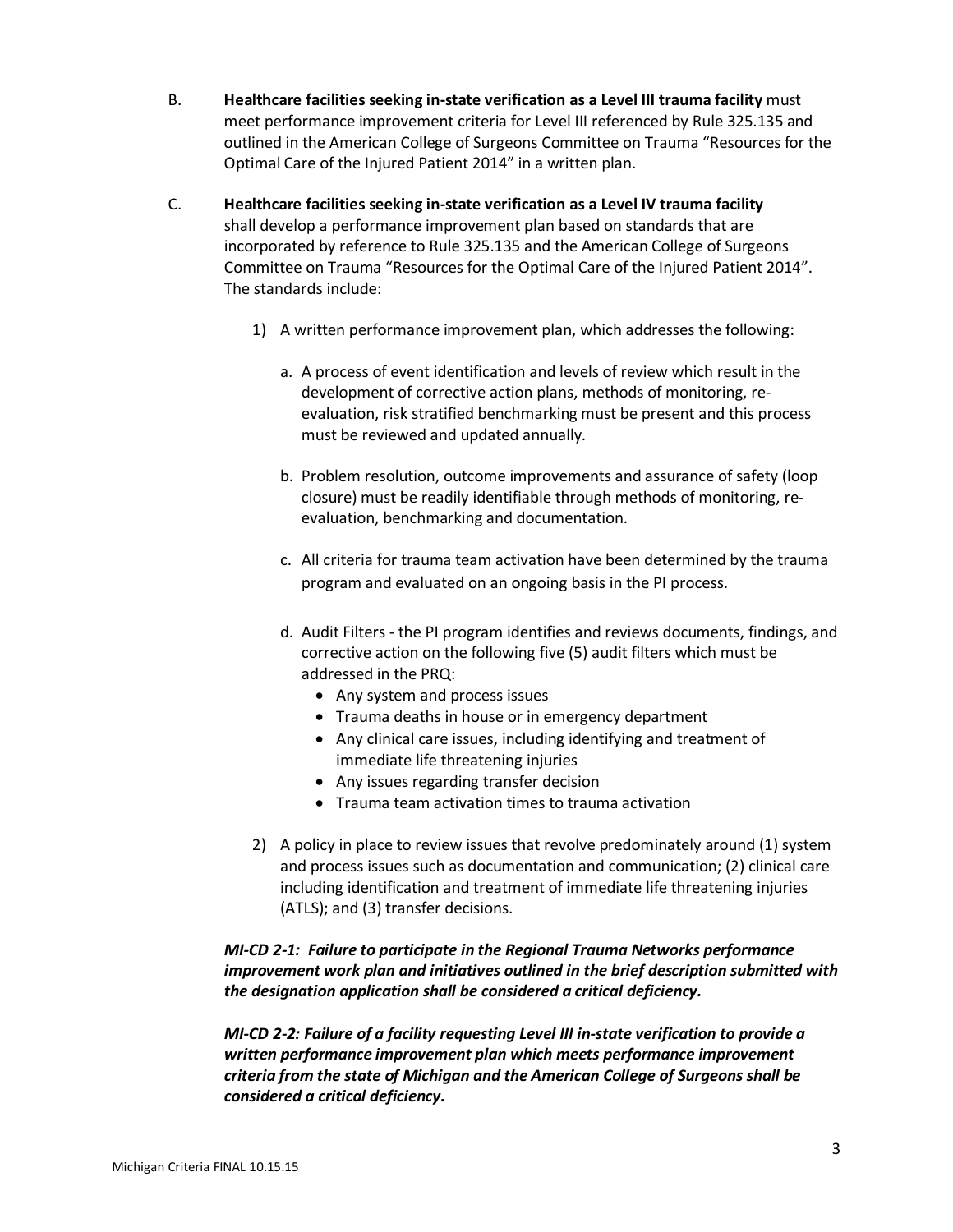- B. **Healthcare facilities seeking in-state verification as a Level III trauma facility** must meet performance improvement criteria for Level III referenced by Rule 325.135 and outlined in the American College of Surgeons Committee on Trauma "Resources for the Optimal Care of the Injured Patient 2014" in a written plan.
- C. **Healthcare facilities seeking in-state verification as a Level IV trauma facility** shall develop a performance improvement plan based on standards that are incorporated by reference to Rule 325.135 and the American College of Surgeons Committee on Trauma "Resources for the Optimal Care of the Injured Patient 2014". The standards include:
	- 1) A written performance improvement plan, which addresses the following:
		- a. A process of event identification and levels of review which result in the development of corrective action plans, methods of monitoring, reevaluation, risk stratified benchmarking must be present and this process must be reviewed and updated annually.
		- b. Problem resolution, outcome improvements and assurance of safety (loop closure) must be readily identifiable through methods of monitoring, reevaluation, benchmarking and documentation.
		- c. All criteria for trauma team activation have been determined by the trauma program and evaluated on an ongoing basis in the PI process.
		- d. Audit Filters the PI program identifies and reviews documents, findings, and corrective action on the following five (5) audit filters which must be addressed in the PRQ:
			- Any system and process issues
			- Trauma deaths in house or in emergency department
			- Any clinical care issues, including identifying and treatment of immediate life threatening injuries
			- Any issues regarding transfer decision
			- Trauma team activation times to trauma activation
	- 2) A policy in place to review issues that revolve predominately around (1) system and process issues such as documentation and communication; (2) clinical care including identification and treatment of immediate life threatening injuries (ATLS); and (3) transfer decisions.

# *MI-CD 2-1: Failure to participate in the Regional Trauma Networks performance improvement work plan and initiatives outlined in the brief description submitted with the designation application shall be considered a critical deficiency.*

*MI-CD 2-2: Failure of a facility requesting Level III in-state verification to provide a written performance improvement plan which meets performance improvement criteria from the state of Michigan and the American College of Surgeons shall be considered a critical deficiency.*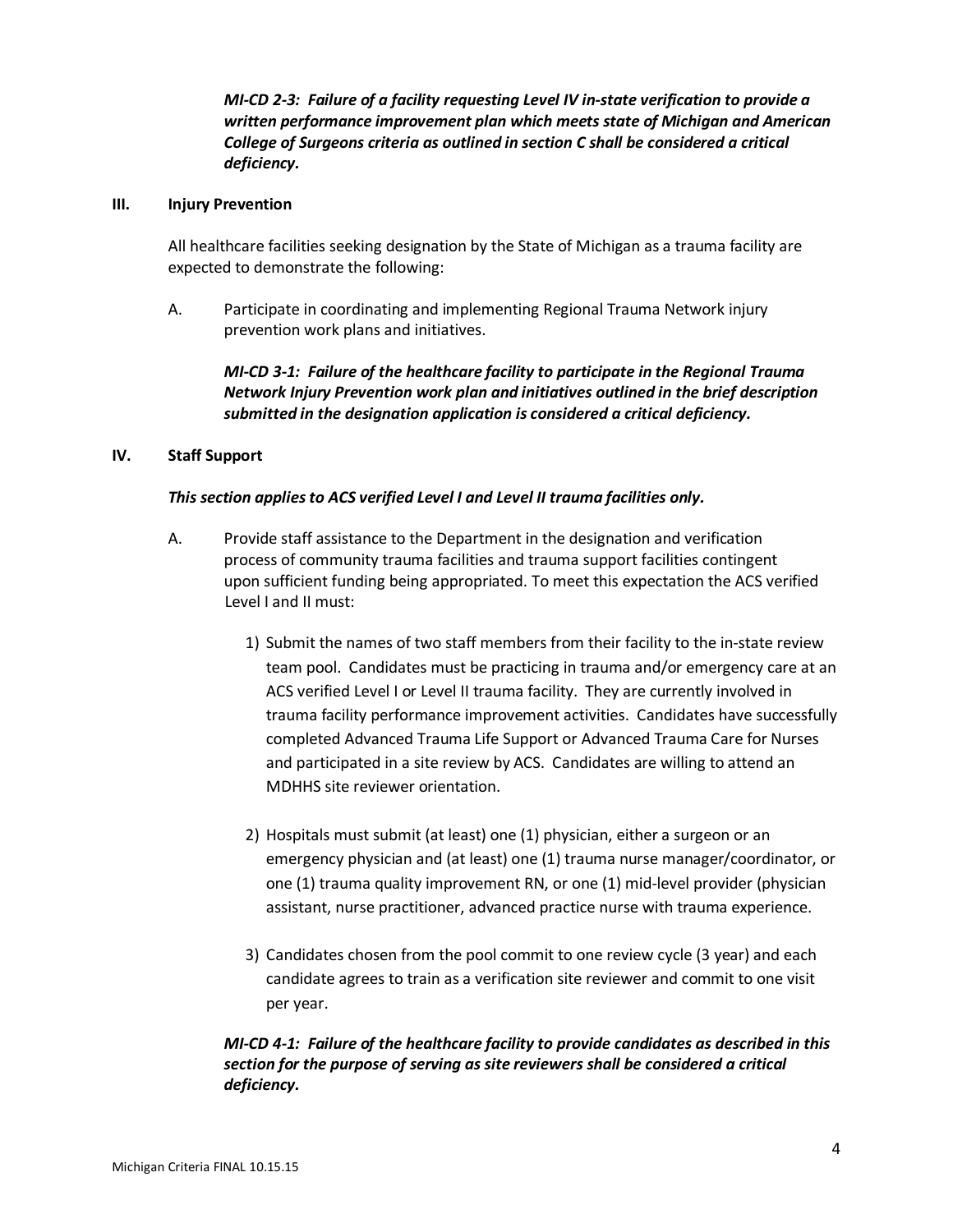*MI-CD 2-3: Failure of a facility requesting Level IV in-state verification to provide a written performance improvement plan which meets state of Michigan and American College of Surgeons criteria as outlined in section C shall be considered a critical deficiency.*

### **III. Injury Prevention**

All healthcare facilities seeking designation by the State of Michigan as a trauma facility are expected to demonstrate the following:

A. Participate in coordinating and implementing Regional Trauma Network injury prevention work plans and initiatives.

# *MI-CD 3-1: Failure of the healthcare facility to participate in the Regional Trauma Network Injury Prevention work plan and initiatives outlined in the brief description submitted in the designation application is considered a critical deficiency.*

#### **IV. Staff Support**

### *This section applies to ACS verified Level I and Level II trauma facilities only.*

- A. Provide staff assistance to the Department in the designation and verification process of community trauma facilities and trauma support facilities contingent upon sufficient funding being appropriated. To meet this expectation the ACS verified Level I and II must:
	- 1) Submit the names of two staff members from their facility to the in-state review team pool. Candidates must be practicing in trauma and/or emergency care at an ACS verified Level I or Level II trauma facility. They are currently involved in trauma facility performance improvement activities. Candidates have successfully completed Advanced Trauma Life Support or Advanced Trauma Care for Nurses and participated in a site review by ACS. Candidates are willing to attend an MDHHS site reviewer orientation.
	- 2) Hospitals must submit (at least) one (1) physician, either a surgeon or an emergency physician and (at least) one (1) trauma nurse manager/coordinator, or one (1) trauma quality improvement RN, or one (1) mid-level provider (physician assistant, nurse practitioner, advanced practice nurse with trauma experience.
	- 3) Candidates chosen from the pool commit to one review cycle (3 year) and each candidate agrees to train as a verification site reviewer and commit to one visit per year.

# *MI-CD 4-1: Failure of the healthcare facility to provide candidates as described in this section for the purpose of serving as site reviewers shall be considered a critical deficiency.*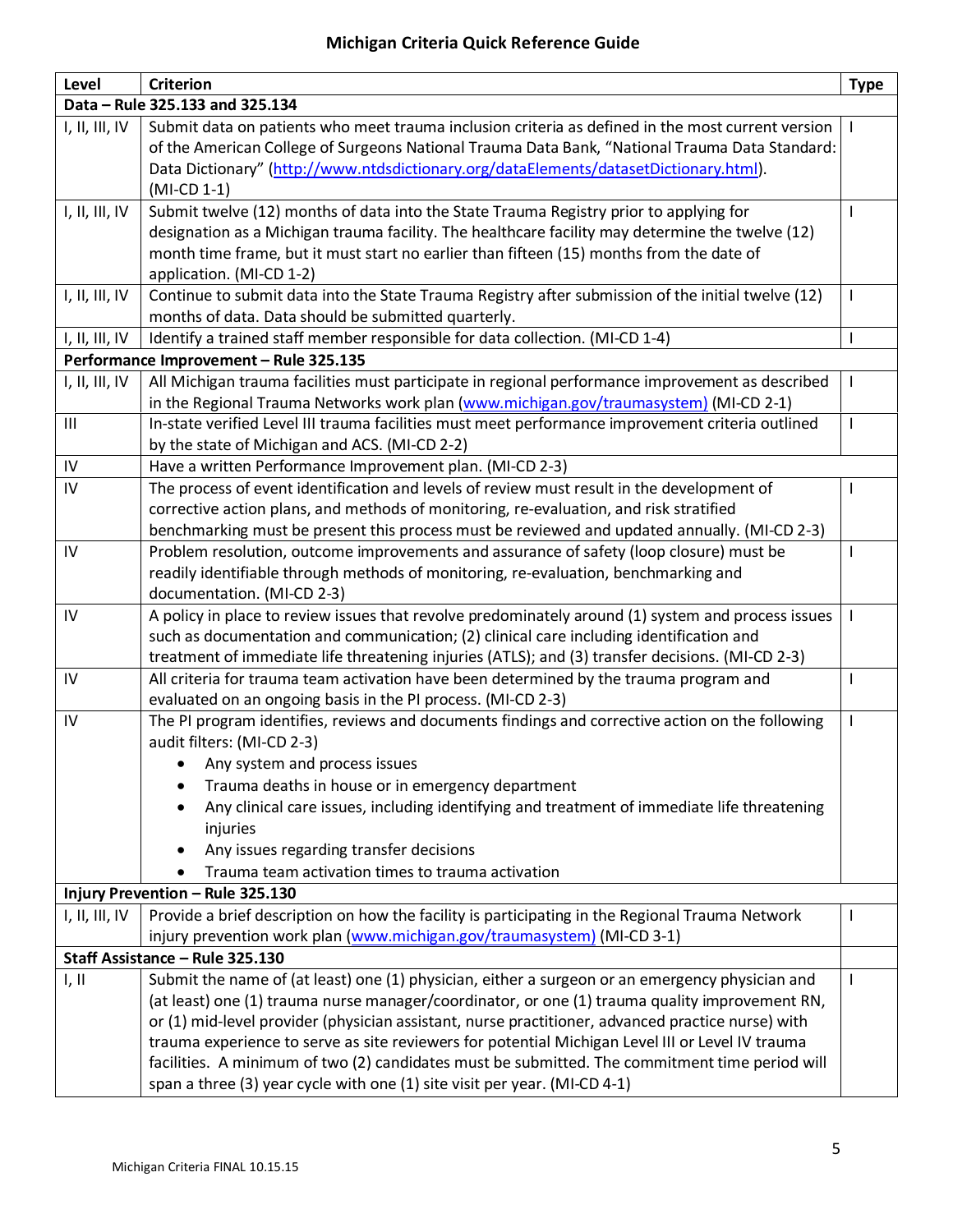# **Michigan Criteria Quick Reference Guide**

| Level                                  | <b>Criterion</b>                                                                                                                                                 | <b>Type</b> |
|----------------------------------------|------------------------------------------------------------------------------------------------------------------------------------------------------------------|-------------|
| Data - Rule 325.133 and 325.134        |                                                                                                                                                                  |             |
| I, II, III, IV                         | Submit data on patients who meet trauma inclusion criteria as defined in the most current version                                                                |             |
|                                        | of the American College of Surgeons National Trauma Data Bank, "National Trauma Data Standard:                                                                   |             |
|                                        | Data Dictionary" (http://www.ntdsdictionary.org/dataElements/datasetDictionary.html).                                                                            |             |
|                                        | (MI-CD 1-1)                                                                                                                                                      |             |
| I, II, III, IV                         | Submit twelve (12) months of data into the State Trauma Registry prior to applying for                                                                           |             |
|                                        | designation as a Michigan trauma facility. The healthcare facility may determine the twelve (12)                                                                 |             |
|                                        | month time frame, but it must start no earlier than fifteen (15) months from the date of<br>application. (MI-CD 1-2)                                             |             |
| I, II, III, IV                         | Continue to submit data into the State Trauma Registry after submission of the initial twelve (12)                                                               |             |
|                                        | months of data. Data should be submitted quarterly.                                                                                                              |             |
| I, II, III, IV                         | Identify a trained staff member responsible for data collection. (MI-CD 1-4)                                                                                     |             |
| Performance Improvement - Rule 325.135 |                                                                                                                                                                  |             |
| I, II, III, IV                         | All Michigan trauma facilities must participate in regional performance improvement as described                                                                 |             |
|                                        | in the Regional Trauma Networks work plan (www.michigan.gov/traumasystem) (MI-CD 2-1)                                                                            |             |
| $\mathbf{III}$                         | In-state verified Level III trauma facilities must meet performance improvement criteria outlined                                                                |             |
|                                        | by the state of Michigan and ACS. (MI-CD 2-2)                                                                                                                    |             |
| IV                                     | Have a written Performance Improvement plan. (MI-CD 2-3)                                                                                                         |             |
| IV                                     | The process of event identification and levels of review must result in the development of                                                                       |             |
|                                        | corrective action plans, and methods of monitoring, re-evaluation, and risk stratified                                                                           |             |
|                                        | benchmarking must be present this process must be reviewed and updated annually. (MI-CD 2-3)                                                                     |             |
| IV                                     | Problem resolution, outcome improvements and assurance of safety (loop closure) must be                                                                          |             |
|                                        | readily identifiable through methods of monitoring, re-evaluation, benchmarking and                                                                              |             |
|                                        | documentation. (MI-CD 2-3)                                                                                                                                       |             |
| IV                                     | A policy in place to review issues that revolve predominately around (1) system and process issues                                                               |             |
|                                        | such as documentation and communication; (2) clinical care including identification and                                                                          |             |
|                                        | treatment of immediate life threatening injuries (ATLS); and (3) transfer decisions. (MI-CD 2-3)                                                                 |             |
| IV                                     | All criteria for trauma team activation have been determined by the trauma program and                                                                           |             |
| IV                                     | evaluated on an ongoing basis in the PI process. (MI-CD 2-3)<br>The PI program identifies, reviews and documents findings and corrective action on the following |             |
|                                        | audit filters: (MI-CD 2-3)                                                                                                                                       |             |
|                                        | • Any system and process issues                                                                                                                                  |             |
|                                        | Trauma deaths in house or in emergency department                                                                                                                |             |
|                                        | Any clinical care issues, including identifying and treatment of immediate life threatening                                                                      |             |
|                                        | injuries                                                                                                                                                         |             |
|                                        | Any issues regarding transfer decisions<br>٠                                                                                                                     |             |
|                                        | Trauma team activation times to trauma activation                                                                                                                |             |
| Injury Prevention - Rule 325.130       |                                                                                                                                                                  |             |
| I, II, III, IV                         | Provide a brief description on how the facility is participating in the Regional Trauma Network                                                                  |             |
|                                        | injury prevention work plan (www.michigan.gov/traumasystem) (MI-CD 3-1)                                                                                          |             |
| Staff Assistance - Rule 325.130        |                                                                                                                                                                  |             |
| I, II                                  | Submit the name of (at least) one (1) physician, either a surgeon or an emergency physician and                                                                  |             |
|                                        | (at least) one (1) trauma nurse manager/coordinator, or one (1) trauma quality improvement RN,                                                                   |             |
|                                        | or (1) mid-level provider (physician assistant, nurse practitioner, advanced practice nurse) with                                                                |             |
|                                        | trauma experience to serve as site reviewers for potential Michigan Level III or Level IV trauma                                                                 |             |
|                                        | facilities. A minimum of two (2) candidates must be submitted. The commitment time period will                                                                   |             |
|                                        | span a three (3) year cycle with one (1) site visit per year. (MI-CD 4-1)                                                                                        |             |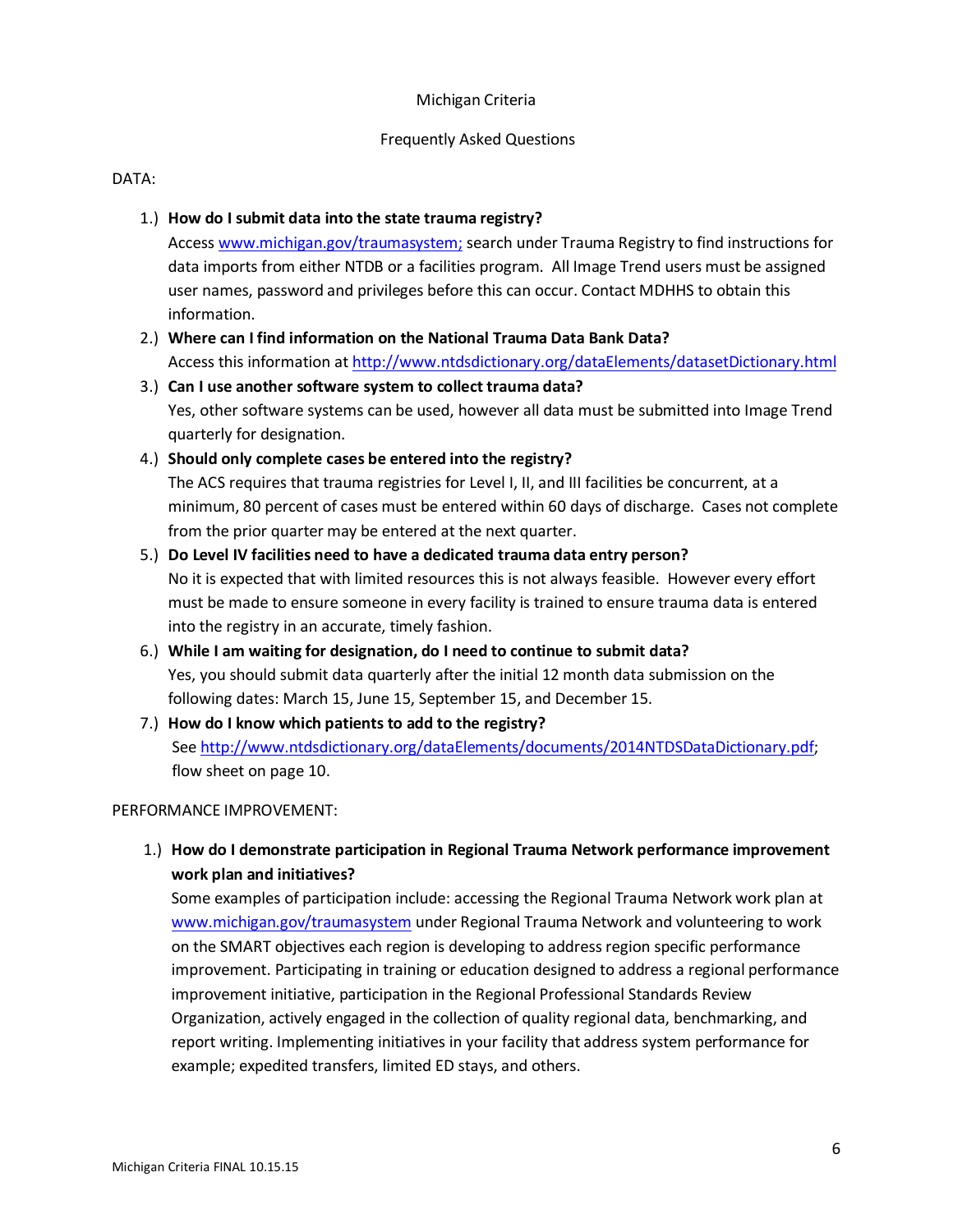### Michigan Criteria

### Frequently Asked Questions

### DATA:

# 1.) **How do I submit data into the state trauma registry?**

Access [www.michigan.gov/traumas](http://www.michigan.gov/trauma)ystem; search under Trauma Registry to find instructions for data imports from either NTDB or a facilities program. All Image Trend users must be assigned user names, password and privileges before this can occur. Contact MDHHS to obtain this information.

- 2.) **Where can I find information on the National Trauma Data Bank Data?** Access this information a[t http://www.ntdsdictionary.org/dataElements/datasetDictionary.html](http://www.ntdsdictionary.org/dataElements/datasetDictionary.html)
- 3.) **Can I use another software system to collect trauma data?** Yes, other software systems can be used, however all data must be submitted into Image Trend quarterly for designation.

## 4.) **Should only complete cases be entered into the registry?**

The ACS requires that trauma registries for Level I, II, and III facilities be concurrent, at a minimum, 80 percent of cases must be entered within 60 days of discharge. Cases not complete from the prior quarter may be entered at the next quarter.

# 5.) **Do Level IV facilities need to have a dedicated trauma data entry person?** No it is expected that with limited resources this is not always feasible. However every effort must be made to ensure someone in every facility is trained to ensure trauma data is entered into the registry in an accurate, timely fashion.

- 6.) **While I am waiting for designation, do I need to continue to submit data?** Yes, you should submit data quarterly after the initial 12 month data submission on the following dates: March 15, June 15, September 15, and December 15.
- 7.) **How do I know which patients to add to the registry?**  See [http://www.ntdsdictionary.org/dataElements/documents/2014NTDSDataDictionary.pdf;](http://www.ntdsdictionary.org/dataElements/documents/2014NTDSDataDictionary.pdf) flow sheet on page 10.

## PERFORMANCE IMPROVEMENT:

1.) **How do I demonstrate participation in Regional Trauma Network performance improvement work plan and initiatives?**

Some examples of participation include: accessing the Regional Trauma Network work plan at [www.michigan.gov/traumasystem](http://www.michigan.gov/traumasystem) under Regional Trauma Network and volunteering to work on the SMART objectives each region is developing to address region specific performance improvement. Participating in training or education designed to address a regional performance improvement initiative, participation in the Regional Professional Standards Review Organization, actively engaged in the collection of quality regional data, benchmarking, and report writing. Implementing initiatives in your facility that address system performance for example; expedited transfers, limited ED stays, and others.